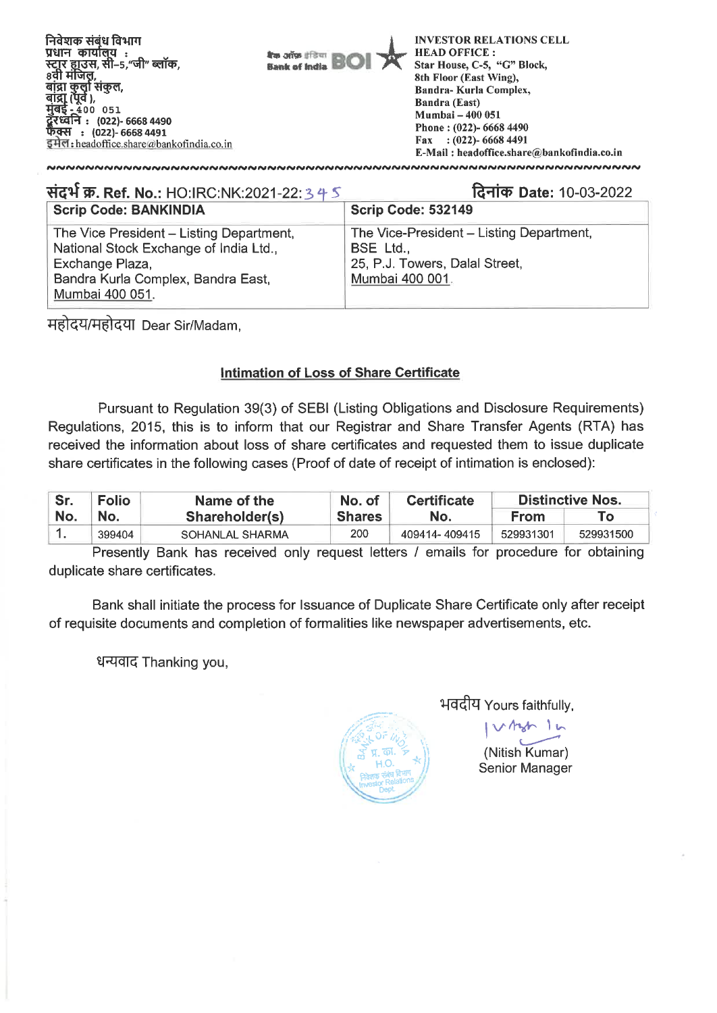

| संदर्भ क्र. Ref. No.: HO:IRC:NK:2021-22: 3 4 5                                                                                                                 | दिनांक Date: 10-03-2022                                                                                    |
|----------------------------------------------------------------------------------------------------------------------------------------------------------------|------------------------------------------------------------------------------------------------------------|
| <b>Scrip Code: BANKINDIA</b>                                                                                                                                   | <b>Scrip Code: 532149</b>                                                                                  |
| The Vice President - Listing Department,<br>National Stock Exchange of India Ltd.,<br>Exchange Plaza,<br>Bandra Kurla Complex, Bandra East,<br>Mumbai 400 051. | The Vice-President - Listing Department,<br>BSE Ltd.,<br>25, P.J. Towers, Dalal Street,<br>Mumbai 400 001. |

महोदय/महोदया Dear Sir/Madam,

## **Intimation of Loss of Share Certificate**

Pursuant to Regulation 39(3) of SEBI (Listing Obligations and Disclosure Requirements) Regulations, 2015, this is to inform that our Registrar and Share Transfer Agents (RTA) has received the information about loss of share certificates and requested them to issue duplicate share certificates in the following cases (Proof of date of receipt of intimation is enclosed):

| Sr. | <b>Folio</b> | Name of the     | No. of        | <b>Certificate</b> | Distinctive Nos. |           |
|-----|--------------|-----------------|---------------|--------------------|------------------|-----------|
| No. | ` No.        | Shareholder(s)  | <b>Shares</b> | No.                | From             |           |
|     | 399404       | SOHANLAL SHARMA | 200           | 409414-409415      | 529931301        | 529931500 |

Presently Bank has received only request letters / emails for procedure for obtaining duplicate share certificates.

Bank shall initiate the process for Issuance of Duplicate Share Certificate only after receipt of requisite documents and completion of formalities like newspaper advertisements, etc.

धन्यवाद Thanking you,



भवदीय Yours faithfully,

(Nitish Kumar) Senior Manager

 $\lambda$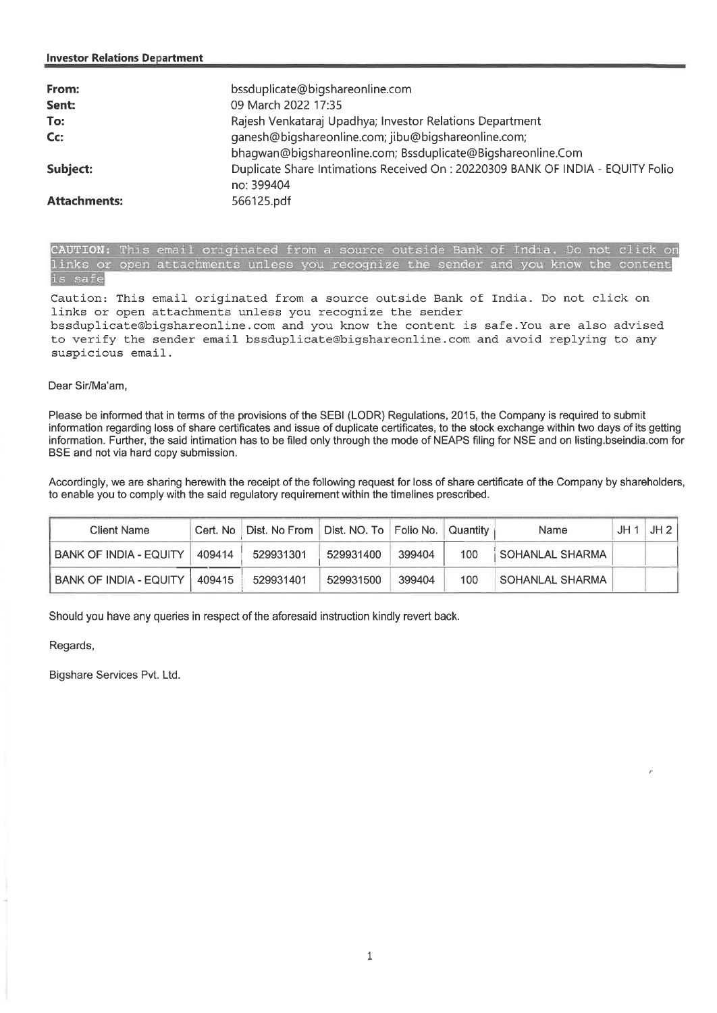| From:               | bssduplicate@bigshareonline.com                                                |
|---------------------|--------------------------------------------------------------------------------|
| Sent:               | 09 March 2022 17:35                                                            |
| To:                 | Rajesh Venkataraj Upadhya; Investor Relations Department                       |
| Cc:                 | ganesh@bigshareonline.com; jibu@bigshareonline.com;                            |
|                     | bhagwan@bigshareonline.com; Bssduplicate@Bigshareonline.Com                    |
| Subject:            | Duplicate Share Intimations Received On: 20220309 BANK OF INDIA - EQUITY Folio |
|                     | no: 399404                                                                     |
| <b>Attachments:</b> | 566125.pdf                                                                     |

CAUTION: This email originated from a source outside Bank of India. Do not click or links or open attachments unless you recognize the sender and you know the content is safe

Caution: This email originated from a source outside Bank of India. Do not click on links or open attachments unless you recognize the sender bssduplicate@bigshareonline.comand you know the content is safe.You are also advised to verify the sender email bssduplicate@bigshareonline.comand avoid replying to any suspicious email.

## Dear Sir/Ma'am,

Please be informed that in terms of the provisions of the SEBI (LODR) Regulations, 2015, the Company is required to submit information regarding loss of share certificates and issue of duplicate certificates, to the stock exchange within two days of its getting information. Further, the said intimation has to be filed only through the mode of NEAPS filing for NSE and on listing.bseindia.com for BSE and not via hard copy submission.

Accordingly, we are sharing herewith the receipt of the following request for loss of share certificate of the Company by shareholders, to enable you to comply with the said regulatory requirement within the timelines prescribed.

| Client Name                   | Cert. No |           |           |        | Quantity | <b>Name</b>       | JH | JH 2 |
|-------------------------------|----------|-----------|-----------|--------|----------|-------------------|----|------|
| <b>BANK OF INDIA - EQUITY</b> | 409414   | 529931301 | 529931400 | 399404 | 100      | i SOHANLAL SHARMA |    |      |
| <b>BANK OF INDIA - EQUITY</b> | 409415   | 529931401 | 529931500 | 399404 | 100      | SOHANLAL SHARMA   |    |      |

Should you have any queries in respect of the aforesaid instruction kindly revert back.

Regards,

Bigshare Services Pvt. Ltd.